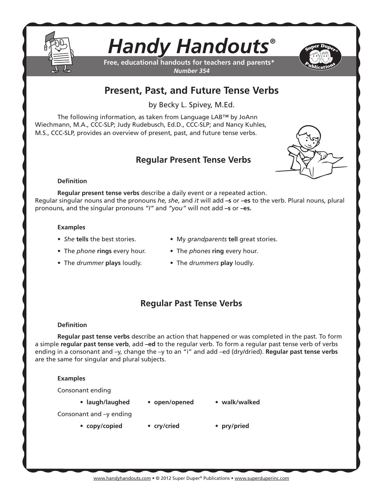

# *Handy Handouts®*

**Free, educational handouts for teachers and parents\*** *Number 354*



## **Present, Past, and Future Tense Verbs**

by Becky L. Spivey, M.Ed.

The following information, as taken from Language LAB™ by JoAnn Wiechmann, M.A., CCC-SLP; Judy Rudebusch, Ed.D., CCC-SLP; and Nancy Kuhles, M.S., CCC-SLP, provides an overview of present, past, and future tense verbs.

## **Regular Present Tense Verbs**



## **Definition**

**Regular present tense verbs** describe a daily event or a repeated action. Regular singular nouns and the pronouns *he, she*, and *it* will add **–s** or **–es** to the verb. Plural nouns, plural pronouns, and the singular pronouns *"I"* and *"you"* will not add **–s** or **–es.**

#### **Examples**

- 
- *She* **tells** the best stories. My *grandparents* **tell** great stories.
- The *phone* **rings** every hour. The *phones* **ring** every hour.
- The *drummer* **plays** loudly. The *drummers* **play** loudly.
- 
- 

## **Regular Past Tense Verbs**

## **Definition**

**Regular past tense verbs** describe an action that happened or was completed in the past. To form a simple **regular past tense verb**, add **–ed** to the regular verb. To form a regular past tense verb of verbs ending in a consonant and –y, change the –y to an "i" and add –ed (dry/dried). **Regular past tense verbs** are the same for singular and plural subjects.

## **Examples**

Consonant ending

- 
- **laugh/laughed open/opened walk/walked**
- 

- Consonant and –y ending
	- **copy/copied cry/cried pry/pried**
		-